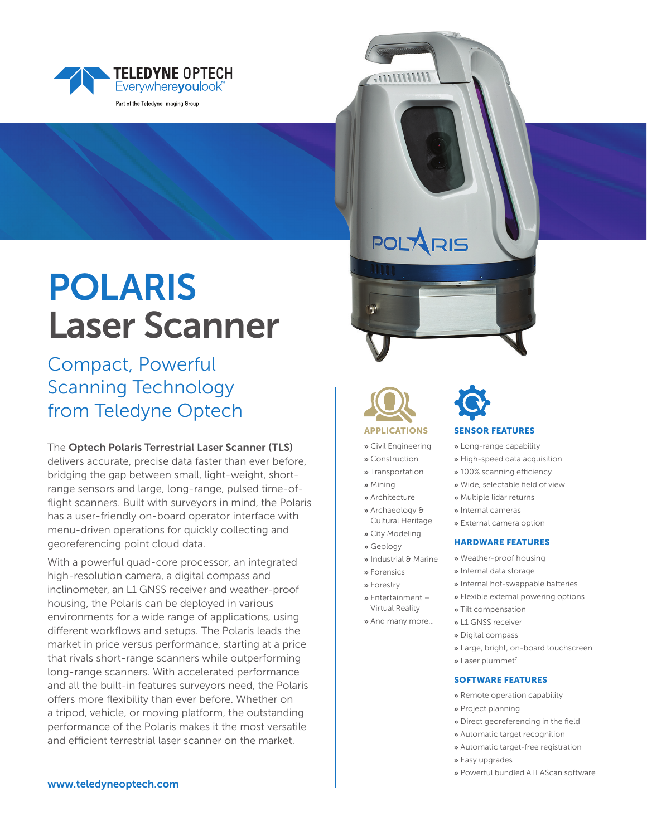

# POLARIS Laser Scanner

## Compact, Powerful Scanning Technology from Teledyne Optech

The Optech Polaris Terrestrial Laser Scanner (TLS) delivers accurate, precise data faster than ever before, bridging the gap between small, light-weight, shortrange sensors and large, long-range, pulsed time-offlight scanners. Built with surveyors in mind, the Polaris has a user-friendly on-board operator interface with menu-driven operations for quickly collecting and georeferencing point cloud data.

With a powerful quad-core processor, an integrated high-resolution camera, a digital compass and inclinometer, an L1 GNSS receiver and weather-proof housing, the Polaris can be deployed in various environments for a wide range of applications, using different workflows and setups. The Polaris leads the market in price versus performance, starting at a price that rivals short-range scanners while outperforming long-range scanners. With accelerated performance and all the built-in features surveyors need, the Polaris offers more flexibility than ever before. Whether on a tripod, vehicle, or moving platform, the outstanding performance of the Polaris makes it the most versatile and efficient terrestrial laser scanner on the market.

**POLARIS** 

 $11111111111.$ 

APPLICATIONS **»** Civil Engineering **»** Construction **»** Transportation **»** Mining **»** Architecture **»** Archaeology & Cultural Heritage **»** City Modeling **»** Geology

**»** Industrial & Marine **»** Forensics **»** Forestry **»** Entertainment – Virtual Reality **»** And many more…



### SENSOR FEATURES

**»** Long-range capability

- **»** High-speed data acquisition
- » 100% scanning efficiency
- » Wide, selectable field of view
- **»** Multiple lidar returns
- **»** Internal cameras
- **»** External camera option

### HARDWARE FEATURES

- **»** Weather-proof housing
- **»** Internal data storage
- **»** Internal hot-swappable batteries
- **»** Flexible external powering options
- **»** Tilt compensation
- **»** L1 GNSS receiver
- **»** Digital compass
- **»** Large, bright, on-board touchscreen
- **»** Laser plummet7

#### SOFTWARE FEATURES

- **»** Remote operation capability
- **»** Project planning
- » Direct georeferencing in the field
- **»** Automatic target recognition
- **»** Automatic target-free registration
- **»** Easy upgrades
	- **»** Powerful bundled ATLAScan software